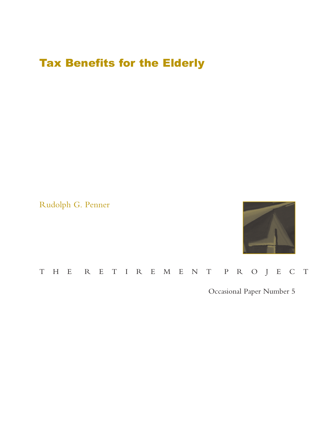# Tax Benefits for the Elderly

Rudolph G. Penner



## THE RETIREMENT PROJECT

Occasional Paper Number 5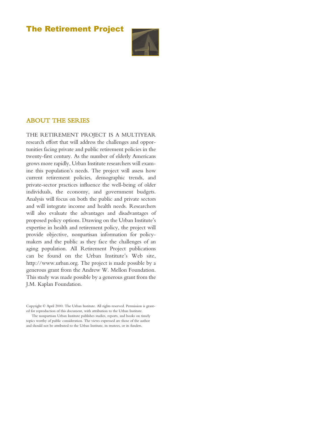## The Retirement Project



## ABOUT THE SERIES

THE RETIREMENT PROJECT IS A MULTIYEAR research effort that will address the challenges and opportunities facing private and public retirement policies in the twenty-first century. As the number of elderly Americans grows more rapidly, Urban Institute researchers will examine this population's needs. The project will assess how current retirement policies, demographic trends, and private-sector practices influence the well-being of older individuals, the economy, and government budgets. Analysis will focus on both the public and private sectors and will integrate income and health needs. Researchers will also evaluate the advantages and disadvantages of proposed policy options. Drawing on the Urban Institute's expertise in health and retirement policy, the project will provide objective, nonpartisan information for policymakers and the public as they face the challenges of an aging population. All Retirement Project publications can be found on the Urban Institute's Web site, http://www.urban.org. The project is made possible by a generous grant from the Andrew W. Mellon Foundation. This study was made possible by a generous grant from the J.M. Kaplan Foundation.

Copyright © April 2000. The Urban Institute. All rights reserved. Permission is granted for reproduction of this document, with attribution to the Urban Institute.

The nonpartisan Urban Institute publishes studies, reports, and books on timely topics worthy of public consideration. The views expressed are those of the author and should not be attributed to the Urban Institute, its trustees, or its funders.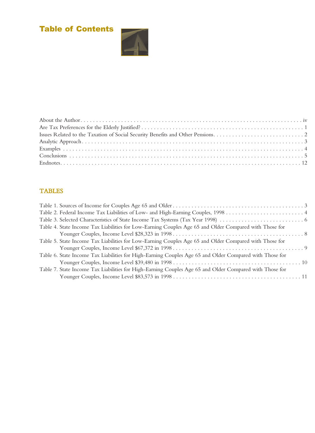## Table of Contents





## **TABLES**

| Table 4. State Income Tax Liabilities for Low-Earning Couples Age 65 and Older Compared with Those for  |  |
|---------------------------------------------------------------------------------------------------------|--|
|                                                                                                         |  |
| Table 5. State Income Tax Liabilities for Low-Earning Couples Age 65 and Older Compared with Those for  |  |
|                                                                                                         |  |
| Table 6. State Income Tax Liabilities for High-Earning Couples Age 65 and Older Compared with Those for |  |
|                                                                                                         |  |
| Table 7. State Income Tax Liabilities for High-Earning Couples Age 65 and Older Compared with Those for |  |
|                                                                                                         |  |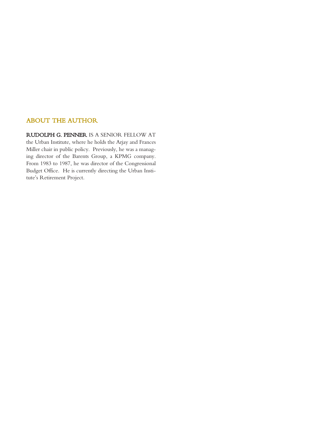## ABOUT THE AUTHOR

RUDOLPH G. PENNER IS A SENIOR FELLOW AT the Urban Institute, where he holds the Arjay and Frances Miller chair in public policy. Previously, he was a managing director of the Barents Group, a KPMG company. From 1983 to 1987, he was director of the Congressional Budget Office. He is currently directing the Urban Institute's Retirement Project.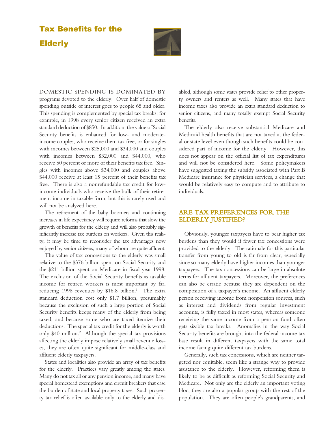## Tax Benefits for the Elderly



DOMESTIC SPENDING IS DOMINATED BY programs devoted to the elderly. Over half of domestic spending outside of interest goes to people 65 and older. This spending is complemented by special tax breaks; for example, in 1998 every senior citizen received an extra standard deduction of \$850. In addition, the value of Social Security benefits is enhanced for low- and moderateincome couples, who receive them tax free, or for singles with incomes between \$25,000 and \$34,000 and couples with incomes between \$32,000 and \$44,000, who receive 50 percent or more of their benefits tax free. Singles with incomes above \$34,000 and couples above \$44,000 receive at least 15 percent of their benefits tax free. There is also a nonrefundable tax credit for lowincome individuals who receive the bulk of their retirement income in taxable form, but this is rarely used and will not be analyzed here.

The retirement of the baby boomers and continuing increases in life expectancy will require reforms that slow the growth of benefits for the elderly and will also probably significantly increase tax burdens on workers. Given this reality, it may be time to reconsider the tax advantages now enjoyed by senior citizens, many of whom are quite affluent.

The value of tax concessions to the elderly was small relative to the \$376 billion spent on Social Security and the \$211 billion spent on Medicare in fiscal year 1998. The exclusion of the Social Security benefits as taxable income for retired workers is most important by far, reducing 1998 revenues by \$16.8 billion.<sup>1</sup> The extra standard deduction cost only \$1.7 billion, presumably because the exclusion of such a large portion of Social Security benefits keeps many of the elderly from being taxed, and because some who are taxed itemize their deductions. The special tax credit for the elderly is worth only \$40 million.2 Although the special tax provisions affecting the elderly impose relatively small revenue losses, they are often quite significant for middle-class and affluent elderly taxpayers.

States and localities also provide an array of tax benefits for the elderly. Practices vary greatly among the states. Many do not tax all or any pension income, and many have special homestead exemptions and circuit breakers that ease the burden of state and local property taxes. Such property tax relief is often available only to the elderly and disabled, although some states provide relief to other property owners and renters as well. Many states that have income taxes also provide an extra standard deduction to senior citizens, and many totally exempt Social Security benefits.

The elderly also receive substantial Medicare and Medicaid health benefits that are not taxed at the federal or state level even though such benefits could be considered part of income for the elderly. However, this does not appear on the official list of tax expenditures and will not be considered here. Some policymakers have suggested taxing the subsidy associated with Part B Medicare insurance for physician services, a change that would be relatively easy to compute and to attribute to individuals.

### ARE TAX PREFERENCES FOR THE ELDERLY JUSTIFIED?

Obviously, younger taxpayers have to bear higher tax burdens than they would if fewer tax concessions were provided to the elderly. The rationale for this particular transfer from young to old is far from clear, especially since so many elderly have higher incomes than younger taxpayers. The tax concessions can be large in absolute terms for affluent taxpayers. Moreover, the preferences can also be erratic because they are dependent on the composition of a taxpayer's income. An affluent elderly person receiving income from nonpension sources, such as interest and dividends from regular investment accounts, is fully taxed in most states, whereas someone receiving the same income from a pension fund often gets sizable tax breaks. Anomalies in the way Social Security benefits are brought into the federal income tax base result in different taxpayers with the same total income facing quite different tax burdens.

Generally, such tax concessions, which are neither targeted nor equitable, seem like a strange way to provide assistance to the elderly. However, reforming them is likely to be as difficult as reforming Social Security and Medicare. Not only are the elderly an important voting bloc, they are also a popular group with the rest of the population. They are often people's grandparents, and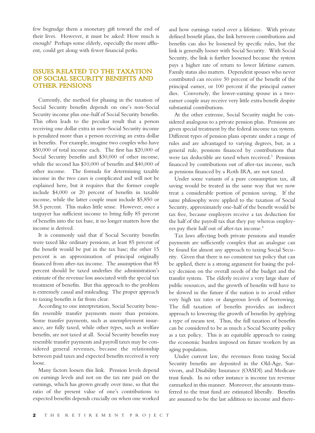few begrudge them a monetary gift toward the end of their lives. However, it must be asked: How much is enough? Perhaps some elderly, especially the more affluent, could get along with fewer financial perks.

### ISSUES RELATED TO THE TAXATION OF SOCIAL SECURITY BENEFITS AND OTHER PENSIONS

Currently, the method for phasing in the taxation of Social Security benefits depends on one's non–Social Security income plus one-half of Social Security benefits. This often leads to the peculiar result that a person receiving one dollar extra in non–Social Security income is penalized more than a person receiving an extra dollar in benefits. For example, imagine two couples who have \$50,000 of total income each. The first has \$20,000 of Social Security benefits and \$30,000 of other income, while the second has \$10,000 of benefits and \$40,000 of other income. The formula for determining taxable income in the two cases is complicated and will not be explained here, but it requires that the former couple include \$4,000 or 20 percent of benefits in taxable income, while the latter couple must include \$5,850 or 58.5 percent. This makes little sense. However, once a taxpayer has sufficient income to bring fully 85 percent of benefits into the tax base, it no longer matters how the income is derived.

It is commonly said that if Social Security benefits were taxed like ordinary pensions, at least 85 percent of the benefit would be put in the tax base; the other 15 percent is an approximation of principal originally financed from after-tax income. The assumption that 85 percent should be taxed underlies the administration's estimate of the revenue loss associated with the special tax treatment of benefits. But this approach to the problem is extremely casual and misleading. The proper approach to taxing benefits is far from clear.

According to one interpretation, Social Security benefits resemble transfer payments more than pensions. Some transfer payments, such as unemployment insurance, are fully taxed, while other types, such as welfare benefits, are not taxed at all. Social Security benefits may resemble transfer payments and payroll taxes may be considered general revenues, because the relationship between paid taxes and expected benefits received is very loose.

Many factors loosen this link. Pension levels depend on earnings levels and not on the tax rate paid on the earnings, which has grown greatly over time, so that the ratio of the present value of one's contributions to expected benefits depends crucially on when one worked

and how earnings varied over a lifetime. With private defined benefit plans, the link between contributions and benefits can also be loosened by specific rules, but the link is generally looser with Social Security. With Social Security, the link is further loosened because the system pays a higher rate of return to lower lifetime earners. Family status also matters. Dependent spouses who never contributed can receive 50 percent of the benefit of the principal earner, or 100 percent if the principal earner dies. Conversely, the lower-earning spouse in a twoearner couple may receive very little extra benefit despite substantial contributions.

At the other extreme, Social Security might be considered analogous to a private pension plan. Pensions are given special treatment by the federal income tax system. Different types of pension plans operate under a range of rules and are advantaged to varying degrees, but, as a general rule, pensions financed by contributions that were tax deductible are taxed when received.3 Pensions financed by contributions out of after-tax income, such as pensions financed by a Roth IRA, are not taxed.

Under some variants of a pure consumption tax, all saving would be treated in the same way that we now treat a considerable portion of pension saving. If the same philosophy were applied to the taxation of Social Security, approximately one-half of the benefit would be tax free, because employers receive a tax deduction for the half of the payroll tax that they pay whereas employees pay their half out of after-tax income.<sup>4</sup>

Tax laws affecting both private pensions and transfer payments are sufficiently complex that an analogue can be found for almost any approach to taxing Social Security. Given that there is no consistent tax policy that can be applied, there is a strong argument for basing the policy decision on the overall needs of the budget and the transfer system. The elderly receive a very large share of public resources, and the growth of benefits will have to be slowed in the future if the nation is to avoid either very high tax rates or dangerous levels of borrowing. The full taxation of benefits provides an indirect approach to lowering the growth of benefits by applying a type of means test. Thus, the full taxation of benefits can be considered to be as much a Social Security policy as a tax policy. This is an equitable approach to easing the economic burden imposed on future workers by an aging population.

Under current law, the revenues from taxing Social Security benefits are deposited in the Old-Age, Survivors, and Disability Insurance (OASDI) and Medicare trust funds. In no other instance is income tax revenue earmarked in this manner. Moreover, the amounts transferred to the trust fund are estimated liberally. Benefits are assumed to be the last addition to income and there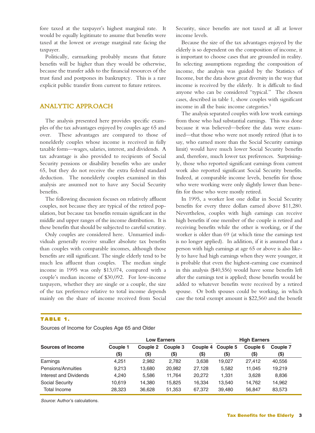fore taxed at the taxpayer's highest marginal rate. It would be equally legitimate to assume that benefits were taxed at the lowest or average marginal rate facing the taxpayer.

Politically, earmarking probably means that future benefits will be higher than they would be otherwise, because the transfer adds to the financial resources of the trust fund and postpones its bankruptcy. This is a rare explicit public transfer from current to future retirees.

## ANALYTIC APPROACH

The analysis presented here provides specific examples of the tax advantages enjoyed by couples age 65 and over. These advantages are compared to those of nonelderly couples whose income is received in fully taxable form—wages, salaries, interest, and dividends. A tax advantage is also provided to recipients of Social Security pensions or disability benefits who are under 65, but they do not receive the extra federal standard deduction. The nonelderly couples examined in this analysis are assumed not to have any Social Security benefits.

The following discussion focuses on relatively affluent couples, not because they are typical of the retired population, but because tax benefits remain significant in the middle and upper ranges of the income distribution. It is these benefits that should be subjected to careful scrutiny.

Only couples are considered here. Unmarried individuals generally receive smaller absolute tax benefits than couples with comparable incomes, although those benefits are still significant. The single elderly tend to be much less affluent than couples. The median single income in 1995 was only \$13,074, compared with a couple's median income of \$30,092. For low-income taxpayers, whether they are single or a couple, the size of the tax preference relative to total income depends mainly on the share of income received from Social Security, since benefits are not taxed at all at lower income levels.

Because the size of the tax advantages enjoyed by the elderly is so dependent on the composition of income, it is important to choose cases that are grounded in reality. In selecting assumptions regarding the composition of income, the analysis was guided by the Statistics of Income, but the data show great diversity in the way that income is received by the elderly. It is difficult to find anyone who can be considered "typical." The chosen cases, described in table 1, show couples with significant income in all the basic income categories.<sup>5</sup>

The analysis separated couples with low work earnings from those who had substantial earnings. This was done because it was believed—before the data were examined—that those who were not mostly retired (that is to say, who earned more than the Social Security earnings limit) would have much lower Social Security benefits and, therefore, much lower tax preferences. Surprisingly, those who reported significant earnings from current work also reported significant Social Security benefits. Indeed, at comparable income levels, benefits for those who were working were only slightly lower than benefits for those who were mostly retired.

In 1995, a worker lost one dollar in Social Security benefits for every three dollars earned above \$11,280. Nevertheless, couples with high earnings can receive high benefits if one member of the couple is retired and receiving benefits while the other is working, or if the worker is older than 69 (at which time the earnings test is no longer applied). In addition, if it is assumed that a person with high earnings at age 65 or above is also likely to have had high earnings when they were younger, it is probable that even the highest-earning case examined in this analysis (\$40,556) would have some benefits left after the earnings test is applied; those benefits would be added to whatever benefits were received by a retired spouse. Or both spouses could be working, in which case the total exempt amount is \$22,560 and the benefit

#### **TABLE 1.**

Sources of Income for Couples Age 65 and Older

|                        | <b>Low Earners</b> |          |          |          | <b>High Earners</b> |          |          |
|------------------------|--------------------|----------|----------|----------|---------------------|----------|----------|
| Sources of Income      | Couple 1           | Couple 2 | Couple 3 | Couple 4 | Couple 5            | Couple 6 | Couple 7 |
|                        | $($ \$)            | $($ \$   | (\$)     | (\$)     | (\$)                | $(\$)$   | (\$)     |
| Earnings               | 4.251              | 2.982    | 2.782    | 3.638    | 19.027              | 27.412   | 40,556   |
| Pensions/Annuities     | 9.213              | 13.680   | 20.982   | 27.128   | 5.582               | 11.045   | 19.219   |
| Interest and Dividends | 4.240              | 5.586    | 11.764   | 20,272   | 1,331               | 3,628    | 8,836    |
| Social Security        | 10.619             | 14.380   | 15,825   | 16.334   | 13.540              | 14.762   | 14,962   |
| Total Income           | 28,323             | 36,628   | 51,353   | 67,372   | 39.480              | 56,847   | 83,573   |

Source: Author's calculations.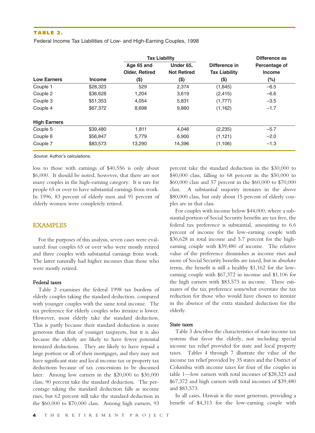#### **TABLE 2.**

Federal Income Tax Liabilities of Low- and High-Earning Couples, 1998

|                     |               | <b>Tax Liability</b>  |                    |                      | Difference as |
|---------------------|---------------|-----------------------|--------------------|----------------------|---------------|
|                     |               | Age 65 and            | Under 65,          | Difference in        | Percentage of |
|                     |               | <b>Older, Retired</b> | <b>Not Retired</b> | <b>Tax Liability</b> | <b>Income</b> |
| <b>Low Earners</b>  | <b>Income</b> | $($ \$)               | $($ \$)            | $($ \$)              | $(\%)$        |
| Couple 1            | \$28,323      | 529                   | 2,374              | (1, 845)             | $-6.5$        |
| Couple 2            | \$36,628      | 1,204                 | 3,619              | (2, 415)             | $-6.6$        |
| Couple 3            | \$51,353      | 4,054                 | 5,831              | (1,777)              | $-3.5$        |
| Couple 4            | \$67,372      | 8.698                 | 9,860              | (1, 162)             | $-1.7$        |
| <b>High Earners</b> |               |                       |                    |                      |               |
| Couple 5            | \$39,480      | 1,811                 | 4,046              | (2,235)              | $-5.7$        |
| Couple 6            | \$56,847      | 5.779                 | 6,900              | (1, 121)             | $-2.0$        |
| Couple 7            | \$83,573      | 13,290                | 14,396             | (1,106)              | $-1.3$        |

Source: Author's calculations.

loss to those with earnings of \$40,556 is only about \$6,000. It should be noted, however, that there are not many couples in the high-earning category. It is rare for people 65 or over to have substantial earnings from work. In 1996, 83 percent of elderly men and 91 percent of elderly women were completely retired.

#### EXAMPLES

For the purposes of this analysis, seven cases were evaluated: four couples 65 or over who were mostly retired and three couples with substantial earnings from work. The latter naturally had higher incomes than those who were mostly retired.

#### Federal taxes

Table 2 examines the federal 1998 tax burdens of elderly couples taking the standard deduction, compared with younger couples with the same total income. The tax preference for elderly couples who itemize is lower. However, most elderly take the standard deduction. This is partly because their standard deduction is more generous than that of younger taxpayers, but it is also because the elderly are likely to have fewer potential itemized deductions. They are likely to have repaid a large portion or all of their mortgages, and they may not have significant state and local income tax or property tax deductions because of tax concessions to be discussed later. Among low earners in the \$20,000 to \$30,000 class, 90 percent take the standard deduction. The percentage taking the standard deduction falls as income rises, but 62 percent still take the standard deduction in the \$60,000 to \$70,000 class. Among high earners, 93

percent take the standard deduction in the \$30,000 to \$40,000 class, falling to 68 percent in the \$50,000 to \$60,000 class and 57 percent in the \$60,000 to \$70,000 class. A substantial majority itemizes in the above \$80,000 class, but only about 15 percent of elderly couples are in that class.

For couples with income below \$44,000, where a substantial portion of Social Security benefits are tax free, the federal tax preference is substantial, amounting to 6.6 percent of income for the low-earning couple with \$36,628 in total income and 5.7 percent for the highearning couple with \$39,480 of income. The relative value of the preference diminishes as income rises and more of Social Security benefits are taxed, but in absolute terms, the benefit is still a healthy \$1,162 for the lowearning couple with \$67,372 in income and \$1,106 for the high earners with \$83,573 in income. These estimates of the tax preference somewhat overstate the tax reduction for those who would have chosen to itemize in the absence of the extra standard deduction for the elderly.

#### State taxes

Table 3 describes the characteristics of state income tax systems that favor the elderly, not including special income tax relief provided for state and local property taxes. Tables 4 through 7 illustrate the value of the income tax relief provided by 35 states and the District of Columbia with income taxes for four of the couples in table 1—low earners with total incomes of \$28,323 and \$67,372 and high earners with total incomes of \$39,480 and \$83,573.

In all cases, Hawaii is the most generous, providing a benefit of \$4,313 for the low-earning couple with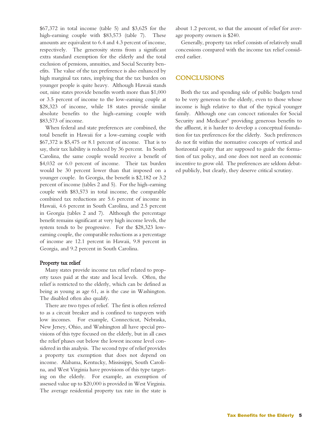\$67,372 in total income (table 5) and \$3,625 for the high-earning couple with \$83,573 (table 7). These amounts are equivalent to 6.4 and 4.3 percent of income, respectively. The generosity stems from a significant extra standard exemption for the elderly and the total exclusion of pensions, annuities, and Social Security benefits. The value of the tax preference is also enhanced by high marginal tax rates, implying that the tax burden on younger people is quite heavy. Although Hawaii stands out, nine states provide benefits worth more than \$1,000 or 3.5 percent of income to the low-earning couple at \$28,323 of income, while 18 states provide similar absolute benefits to the high-earning couple with \$83,573 of income.

When federal and state preferences are combined, the total benefit in Hawaii for a low-earning couple with \$67,372 is \$5,475 or 8.1 percent of income. That is to say, their tax liability is reduced by 36 percent. In South Carolina, the same couple would receive a benefit of \$4,032 or 6.0 percent of income. Their tax burden would be 30 percent lower than that imposed on a younger couple. In Georgia, the benefit is \$2,182 or 3.2 percent of income (tables 2 and 5). For the high-earning couple with \$83,573 in total income, the comparable combined tax reductions are 5.6 percent of income in Hawaii, 4.6 percent in South Carolina, and 2.5 percent in Georgia (tables 2 and 7). Although the percentage benefit remains significant at very high income levels, the system tends to be progressive. For the \$28,323 lowearning couple, the comparable reductions as a percentage of income are 12.1 percent in Hawaii, 9.8 percent in Georgia, and 9.2 percent in South Carolina.

#### Property tax relief

Many states provide income tax relief related to property taxes paid at the state and local levels. Often, the relief is restricted to the elderly, which can be defined as being as young as age 61, as is the case in Washington. The disabled often also qualify.

There are two types of relief. The first is often referred to as a circuit breaker and is confined to taxpayers with low incomes. For example, Connecticut, Nebraska, New Jersey, Ohio, and Washington all have special provisions of this type focused on the elderly, but in all cases the relief phases out below the lowest income level considered in this analysis. The second type of relief provides a property tax exemption that does not depend on income. Alabama, Kentucky, Mississippi, South Carolina, and West Virginia have provisions of this type targeting on the elderly. For example, an exemption of assessed value up to \$20,000 is provided in West Virginia. The average residential property tax rate in the state is

about 1.2 percent, so that the amount of relief for average property owners is \$240.

Generally, property tax relief consists of relatively small concessions compared with the income tax relief considered earlier.

#### **CONCLUSIONS**

Both the tax and spending side of public budgets tend to be very generous to the elderly, even to those whose income is high relative to that of the typical younger family. Although one can concoct rationales for Social Security and Medicare<sup>6</sup> providing generous benefits to the affluent, it is harder to develop a conceptual foundation for tax preferences for the elderly. Such preferences do not fit within the normative concepts of vertical and horizontal equity that are supposed to guide the formation of tax policy, and one does not need an economic incentive to grow old. The preferences are seldom debated publicly, but clearly, they deserve critical scrutiny.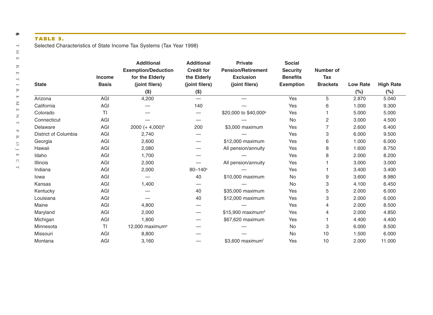## **TABLE 3.**

| <b>State</b>         | Income<br><b>Basis</b> | <b>Additional</b><br><b>Exemption/Deduction</b><br>for the Elderly<br>(joint filers) | <b>Additional</b><br><b>Credit for</b><br>the Elderly<br>(joint filers) | <b>Private</b><br><b>Pension/Retirement</b><br><b>Exclusion</b><br>(joint filers) | <b>Social</b><br><b>Security</b><br><b>Benefits</b><br><b>Exemption</b> | <b>Number of</b><br><b>Tax</b><br><b>Brackets</b> | <b>Low Rate</b> | <b>High Rate</b> |
|----------------------|------------------------|--------------------------------------------------------------------------------------|-------------------------------------------------------------------------|-----------------------------------------------------------------------------------|-------------------------------------------------------------------------|---------------------------------------------------|-----------------|------------------|
|                      |                        | $($ \$)                                                                              | $($ \$)                                                                 |                                                                                   |                                                                         |                                                   | (%)             | (%)              |
| Arizona              | AGI                    | 4,200                                                                                | $\overbrace{\phantom{1232211}}$                                         |                                                                                   | Yes                                                                     | 5                                                 | 2.870           | 5.040            |
| California           | AGI                    |                                                                                      | 140                                                                     |                                                                                   | Yes                                                                     | 6                                                 | 1.000           | 9.300            |
| Colorado             | TI                     |                                                                                      | $\overline{\phantom{0}}$                                                | \$20,000 to \$40,000 <sup>a</sup>                                                 | Yes                                                                     | 1                                                 | 5.000           | 5.000            |
| Connecticut          | AGI                    |                                                                                      | $\overline{\phantom{m}}$                                                |                                                                                   | No                                                                      | $\overline{2}$                                    | 3.000           | 4.500            |
| Delaware             | AGI                    | 2000 $(+ 4,000)^b$                                                                   | 200                                                                     | \$3,000 maximum                                                                   | Yes                                                                     | $\overline{7}$                                    | 2.600           | 6.400            |
| District of Columbia | AGI                    | 2,740                                                                                |                                                                         |                                                                                   | Yes                                                                     | 3                                                 | 6.000           | 9.500            |
| Georgia              | AGI                    | 2,600                                                                                | $\overline{\phantom{0}}$                                                | \$12,000 maximum                                                                  | Yes                                                                     | 6                                                 | 1.000           | 6.000            |
| Hawaii               | AGI                    | 2,080                                                                                | $\overline{\phantom{0}}$                                                | All pension/annuity                                                               | Yes                                                                     | 8                                                 | 1.600           | 8.750            |
| Idaho                | AGI                    | 1,700                                                                                |                                                                         |                                                                                   | Yes                                                                     | 8                                                 | 2.000           | 8.200            |
| Illinois             | AGI                    | 2,000                                                                                | $\overline{\phantom{0}}$                                                | All pension/annuity                                                               | Yes                                                                     |                                                   | 3.000           | 3.000            |
| Indiana              | AGI                    | 2,000                                                                                | $80 - 140$ °                                                            |                                                                                   | Yes                                                                     |                                                   | 3.400           | 3.400            |
| lowa                 | AGI                    |                                                                                      | 40                                                                      | \$10,000 maximum                                                                  | No                                                                      | 9                                                 | 3.600           | 8.980            |
| Kansas               | AGI                    | 1,400                                                                                |                                                                         |                                                                                   | <b>No</b>                                                               | 3                                                 | 4.100           | 6.450            |
| Kentucky             | AGI                    |                                                                                      | 40                                                                      | \$35,000 maximum                                                                  | Yes                                                                     | 5                                                 | 2.000           | 6.000            |
| Louisiana            | AGI                    |                                                                                      | 40                                                                      | \$12,000 maximum                                                                  | Yes                                                                     | 3                                                 | 2.000           | 6.000            |
| Maine                | AGI                    | 4,800                                                                                |                                                                         |                                                                                   | Yes                                                                     | 4                                                 | 2.000           | 8.500            |
| Maryland             | AGI                    | 2,000                                                                                | $\overline{\phantom{0}}$                                                | \$15,900 maximum <sup>d</sup>                                                     | Yes                                                                     | 4                                                 | 2.000           | 4.850            |
| Michigan             | AGI                    | 1,800                                                                                |                                                                         | \$67,620 maximum                                                                  | Yes                                                                     | 1                                                 | 4.400           | 4.400            |
| Minnesota            | <b>TI</b>              | 12,000 maximum <sup>e</sup>                                                          |                                                                         |                                                                                   | No                                                                      | 3                                                 | 6.000           | 8.500            |
| Missouri             | AGI                    | 8,800                                                                                |                                                                         |                                                                                   | <b>No</b>                                                               | 10                                                | 1.500           | 6.000            |
| Montana              | AGI                    | 3.160                                                                                |                                                                         | $$3.600$ maximum <sup>f</sup>                                                     | Yes                                                                     | 10                                                | 2.000           | 11.000           |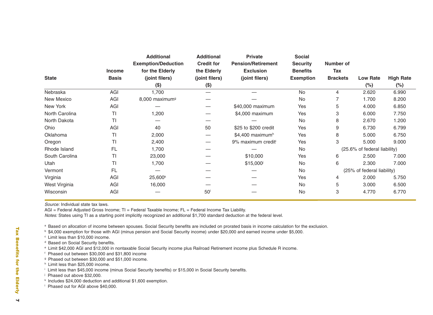|                | <b>Income</b> | <b>Additional</b><br><b>Exemption/Deduction</b><br>for the Elderly | <b>Additional</b><br><b>Credit for</b><br>the Elderly | <b>Private</b><br><b>Pension/Retirement</b><br><b>Exclusion</b> | <b>Social</b><br><b>Security</b><br><b>Benefits</b> | Number of<br><b>Tax</b> |                              |                  |
|----------------|---------------|--------------------------------------------------------------------|-------------------------------------------------------|-----------------------------------------------------------------|-----------------------------------------------------|-------------------------|------------------------------|------------------|
| <b>State</b>   | <b>Basis</b>  | (joint filers)                                                     | (joint filers)                                        | (joint filers)                                                  | <b>Exemption</b>                                    | <b>Brackets</b>         | <b>Low Rate</b>              | <b>High Rate</b> |
|                |               | $(\$)$                                                             | $($ \$)                                               |                                                                 |                                                     |                         | $(\%)$                       | $(\%)$           |
| Nebraska       | AGI           | 1,700                                                              |                                                       |                                                                 | <b>No</b>                                           | 4                       | 2.620                        | 6.990            |
| New Mexico     | AGI           | 8,000 maximum <sup>9</sup>                                         |                                                       |                                                                 | No                                                  |                         | 1.700                        | 8.200            |
| New York       | AGI           |                                                                    |                                                       | \$40,000 maximum                                                | Yes                                                 | 5                       | 4.000                        | 6.850            |
| North Carolina | ΤI            | 1,200                                                              |                                                       | \$4,000 maximum                                                 | Yes                                                 | З                       | 6.000                        | 7.750            |
| North Dakota   | <b>TI</b>     |                                                                    |                                                       |                                                                 | <b>No</b>                                           | 8                       | 2.670                        | 1.200            |
| Ohio           | AGI           | 40                                                                 | 50                                                    | \$25 to \$200 credit                                            | Yes                                                 | 9                       | 6.730                        | 6.799            |
| Oklahoma       | TI            | 2,000                                                              |                                                       | \$4,400 maximum <sup>h</sup>                                    | Yes                                                 | 8                       | 5.000                        | 6.750            |
| Oregon         | <b>TI</b>     | 2,400                                                              |                                                       | 9% maximum credit <sup>i</sup>                                  | Yes                                                 | 3                       | 5.000                        | 9.000            |
| Rhode Island   | <b>FL</b>     | 1,700                                                              |                                                       |                                                                 | No                                                  |                         | (25.6% of federal liability) |                  |
| South Carolina | TI            | 23,000                                                             |                                                       | \$10,000                                                        | Yes                                                 | 6                       | 2.500                        | 7.000            |
| Utah           | ΤI            | 1,700                                                              |                                                       | \$15,000                                                        | No                                                  | 6                       | 2.300                        | 7.000            |
| Vermont        | <b>FL</b>     |                                                                    |                                                       |                                                                 | No                                                  |                         | (25% of federal liability)   |                  |
| Virginia       | AGI           | 25,600 <sup>k</sup>                                                |                                                       |                                                                 | Yes                                                 | 4                       | 2.000                        | 5.750            |
| West Virginia  | AGI           | 16,000                                                             |                                                       |                                                                 | No                                                  | 5                       | 3.000                        | 6.500            |
| Wisconsin      | AGI           |                                                                    | 50 <sup>1</sup>                                       |                                                                 | <b>No</b>                                           | 3                       | 4.770                        | 6.770            |

Source: Individual state tax laws.

AGI = Federal Adjusted Gross Income; TI = Federal Taxable Income; FL = Federal Income Tax Liability. Notes: States using TI as a starting point implicitly recognized an additional \$1,700 standard deduction at the federal level.

a Based on allocation of income between spouses. Social Security benefits are included on prorated basis in income calculation for the exclusion.

b \$4,000 exemption for those with AGI (minus pension and Social Security income) under \$20,000 and earned income under \$5,000.

- c Limit less than \$10,000 income.
- d Based on Social Security benefits.

e Limit \$42,000 AGI and \$12,000 in nontaxable Social Security income plus Railroad Retirement income plus Schedule R income.

- f Phased out between \$30,000 and \$31,800 income
- g Phased out between \$30,000 and \$51,000 income.
- h Limit less than \$25,000 income.
- i Limit less than \$45,000 income (minus Social Security benefits) or \$15,000 in Social Security benefits.
- <sup>j</sup> Phased out above \$32,000.
- k Includes \$24,000 deduction and additional \$1,600 exemption.
- l Phased out for AGI above \$40,000.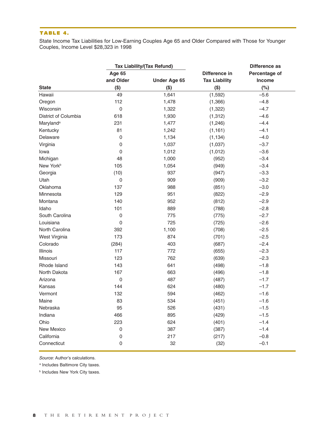#### **TABLE 4.**

State Income Tax Liabilities for Low-Earning Couples Age 65 and Older Compared with Those for Younger Couples, Income Level \$28,323 in 1998

| <b>Tax Liability/(Tax Refund)</b> |             |                     | Difference as        |               |  |
|-----------------------------------|-------------|---------------------|----------------------|---------------|--|
|                                   | Age 65      |                     | Difference in        | Percentage of |  |
|                                   | and Older   | <b>Under Age 65</b> | <b>Tax Liability</b> | Income        |  |
| <b>State</b>                      | $($ \$)     | $($ \$)             | $($ \$)              | (%)           |  |
| Hawaii                            | 49          | 1,641               | (1,592)              | $-5.6$        |  |
| Oregon                            | 112         | 1,478               | (1,366)              | $-4.8$        |  |
| Wisconsin                         | $\pmb{0}$   | 1,322               | (1, 322)             | $-4.7$        |  |
| District of Columbia              | 618         | 1,930               | (1, 312)             | $-4.6$        |  |
| Maryland <sup>a</sup>             | 231         | 1,477               | (1,246)              | $-4.4$        |  |
| Kentucky                          | 81          | 1,242               | (1, 161)             | $-4.1$        |  |
| Delaware                          | $\mathsf 0$ | 1,134               | (1, 134)             | $-4.0$        |  |
| Virginia                          | $\pmb{0}$   | 1,037               | (1,037)              | $-3.7$        |  |
| lowa                              | $\pmb{0}$   | 1,012               | (1,012)              | $-3.6$        |  |
| Michigan                          | 48          | 1,000               | (952)                | $-3.4$        |  |
| New York <sup>b</sup>             | 105         | 1,054               | (949)                | $-3.4$        |  |
| Georgia                           | (10)        | 937                 | (947)                | $-3.3$        |  |
| Utah                              | $\mathsf 0$ | 909                 | (909)                | $-3.2$        |  |
| Oklahoma                          | 137         | 988                 | (851)                | $-3.0$        |  |
| Minnesota                         | 129         | 951                 | (822)                | $-2.9$        |  |
| Montana                           | 140         | 952                 | (812)                | $-2.9$        |  |
| Idaho                             | 101         | 889                 | (788)                | $-2.8$        |  |
| South Carolina                    | $\pmb{0}$   | 775                 | (775)                | $-2.7$        |  |
| Louisiana                         | $\pmb{0}$   | 725                 | (725)                | $-2.6$        |  |
| North Carolina                    | 392         | 1,100               | (708)                | $-2.5$        |  |
| West Virginia                     | 173         | 874                 | (701)                | $-2.5$        |  |
| Colorado                          | (284)       | 403                 | (687)                | $-2.4$        |  |
| Illinois                          | 117         | 772                 | (655)                | $-2.3$        |  |
| Missouri                          | 123         | 762                 | (639)                | $-2.3$        |  |
| Rhode Island                      | 143         | 641                 | (498)                | $-1.8$        |  |
| North Dakota                      | 167         | 663                 | (496)                | $-1.8$        |  |
| Arizona                           | $\pmb{0}$   | 487                 | (487)                | $-1.7$        |  |
| Kansas                            | 144         | 624                 | (480)                | $-1.7$        |  |
| Vermont                           | 132         | 594                 | (462)                | $-1.6$        |  |
| Maine                             | 83          | 534                 | (451)                | $-1.6$        |  |
| Nebraska                          | 95          | 526                 | (431)                | $-1.5$        |  |
| Indiana                           | 466         | 895                 | (429)                | $-1.5$        |  |
| Ohio                              | 223         | 624                 | (401)                | $-1.4$        |  |
| New Mexico                        | $\mathsf 0$ | 387                 | (387)                | $-1.4$        |  |
| California                        | $\mathsf 0$ | 217                 | (217)                | $-0.8$        |  |
| Connecticut                       | $\mathsf 0$ | 32                  | (32)                 | $-0.1$        |  |

Source: Author's calculations.

<sup>a</sup> Includes Baltimore City taxes.

**b Includes New York City taxes.**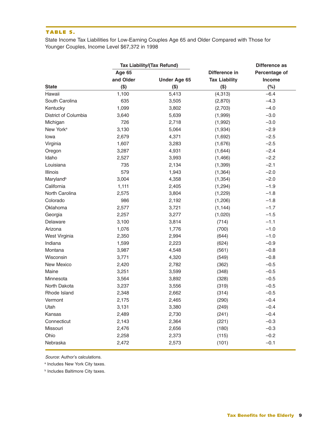#### **TABLE 5.**

State Income Tax Liabilities for Low-Earning Couples Age 65 and Older Compared with Those for Younger Couples, Income Level \$67,372 in 1998

|                       |           | <b>Tax Liability/(Tax Refund)</b> |                      | Difference as |
|-----------------------|-----------|-----------------------------------|----------------------|---------------|
|                       | Age 65    |                                   | Difference in        | Percentage of |
|                       | and Older | <b>Under Age 65</b>               | <b>Tax Liability</b> | Income        |
| <b>State</b>          | $($ \$)   | $($ \$)                           | $($ \$)              | (%)           |
| Hawaii                | 1,100     | 5,413                             | (4, 313)             | $-6.4$        |
| South Carolina        | 635       | 3,505                             | (2,870)              | $-4.3$        |
| Kentucky              | 1,099     | 3,802                             | (2,703)              | $-4.0$        |
| District of Columbia  | 3,640     | 5,639                             | (1,999)              | $-3.0$        |
| Michigan              | 726       | 2,718                             | (1,992)              | $-3.0$        |
| New York <sup>a</sup> | 3,130     | 5,064                             | (1,934)              | $-2.9$        |
| lowa                  | 2,679     | 4,371                             | (1,692)              | $-2.5$        |
| Virginia              | 1,607     | 3,283                             | (1,676)              | $-2.5$        |
| Oregon                | 3,287     | 4,931                             | (1,644)              | $-2.4$        |
| Idaho                 | 2,527     | 3,993                             | (1,466)              | $-2.2$        |
| Louisiana             | 735       | 2,134                             | (1, 399)             | $-2.1$        |
| Illinois              | 579       | 1,943                             | (1, 364)             | $-2.0$        |
| Maryland <sup>b</sup> | 3,004     | 4,358                             | (1, 354)             | $-2.0$        |
| California            | 1,111     | 2,405                             | (1, 294)             | $-1.9$        |
| North Carolina        | 2,575     | 3,804                             | (1,229)              | $-1.8$        |
| Colorado              | 986       | 2,192                             | (1,206)              | $-1.8$        |
| Oklahoma              | 2,577     | 3,721                             | (1, 144)             | $-1.7$        |
| Georgia               | 2,257     | 3,277                             | (1,020)              | $-1.5$        |
| Delaware              | 3,100     | 3,814                             | (714)                | $-1.1$        |
| Arizona               | 1,076     | 1,776                             | (700)                | $-1.0$        |
| West Virginia         | 2,350     | 2,994                             | (644)                | $-1.0$        |
| Indiana               | 1,599     | 2,223                             | (624)                | $-0.9$        |
| Montana               | 3,987     | 4,548                             | (561)                | $-0.8$        |
| Wisconsin             | 3,771     | 4,320                             | (549)                | $-0.8$        |
| New Mexico            | 2,420     | 2,782                             | (362)                | $-0.5$        |
| Maine                 | 3,251     | 3,599                             | (348)                | $-0.5$        |
| Minnesota             | 3,564     | 3,892                             | (328)                | $-0.5$        |
| North Dakota          | 3,237     | 3,556                             | (319)                | $-0.5$        |
| Rhode Island          | 2,348     | 2,662                             | (314)                | $-0.5$        |
| Vermont               | 2,175     | 2,465                             | (290)                | $-0.4$        |
| Utah                  | 3,131     | 3,380                             | (249)                | $-0.4$        |
| Kansas                | 2,489     | 2,730                             | (241)                | $-0.4$        |
| Connecticut           | 2,143     | 2,364                             | (221)                | $-0.3$        |
| Missouri              | 2,476     | 2,656                             | (180)                | $-0.3$        |
| Ohio                  | 2,258     | 2,373                             | (115)                | $-0.2$        |
| Nebraska              | 2,472     | 2,573                             | (101)                | $-0.1$        |

Source: Author's calculations.

<sup>a</sup> Includes New York City taxes.

**b** Includes Baltimore City taxes.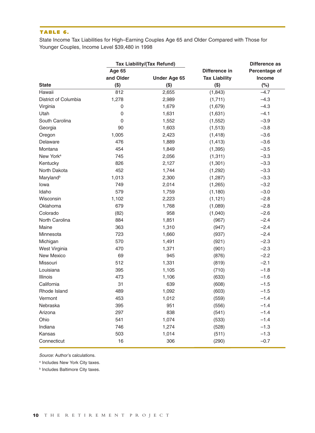#### **TABLE 6.**

State Income Tax Liabilities for High–Earning Couples Age 65 and Older Compared with Those for Younger Couples, Income Level \$39,480 in 1998

|                       |               | <b>Tax Liability/(Tax Refund)</b> |                      | Difference as |
|-----------------------|---------------|-----------------------------------|----------------------|---------------|
|                       | <b>Age 65</b> |                                   | Difference in        | Percentage of |
|                       | and Older     | <b>Under Age 65</b>               | <b>Tax Liability</b> | <b>Income</b> |
| <b>State</b>          | $($ \$)       | $($ \$)                           | $($ \$)              | (%)           |
| Hawaii                | 812           | 2,655                             | (1, 843)             | $-4.7$        |
| District of Columbia  | 1,278         | 2,989                             | (1,711)              | $-4.3$        |
| Virginia              | 0             | 1,679                             | (1,679)              | $-4.3$        |
| Utah                  | 0             | 1,631                             | (1,631)              | $-4.1$        |
| South Carolina        | 0             | 1,552                             | (1, 552)             | $-3.9$        |
| Georgia               | 90            | 1,603                             | (1, 513)             | $-3.8$        |
| Oregon                | 1,005         | 2,423                             | (1, 418)             | $-3.6$        |
| Delaware              | 476           | 1,889                             | (1, 413)             | $-3.6$        |
| Montana               | 454           | 1,849                             | (1, 395)             | $-3.5$        |
| New York <sup>a</sup> | 745           | 2,056                             | (1, 311)             | $-3.3$        |
| Kentucky              | 826           | 2,127                             | (1,301)              | $-3.3$        |
| North Dakota          | 452           | 1,744                             | (1,292)              | $-3.3$        |
| Maryland <sup>b</sup> | 1,013         | 2,300                             | (1, 287)             | $-3.3$        |
| lowa                  | 749           | 2,014                             | (1,265)              | $-3.2$        |
| Idaho                 | 579           | 1,759                             | (1, 180)             | $-3.0$        |
| Wisconsin             | 1,102         | 2,223                             | (1, 121)             | $-2.8$        |
| Oklahoma              | 679           | 1,768                             | (1,089)              | $-2.8$        |
| Colorado              | (82)          | 958                               | (1,040)              | $-2.6$        |
| North Carolina        | 884           | 1,851                             | (967)                | $-2.4$        |
| Maine                 | 363           | 1,310                             | (947)                | $-2.4$        |
| Minnesota             | 723           | 1,660                             | (937)                | $-2.4$        |
| Michigan              | 570           | 1,491                             | (921)                | $-2.3$        |
| West Virginia         | 470           | 1,371                             | (901)                | $-2.3$        |
| New Mexico            | 69            | 945                               | (876)                | $-2.2$        |
| Missouri              | 512           | 1,331                             | (819)                | $-2.1$        |
| Louisiana             | 395           | 1,105                             | (710)                | $-1.8$        |
| Illinois              | 473           | 1,106                             | (633)                | $-1.6$        |
| California            | 31            | 639                               | (608)                | $-1.5$        |
| Rhode Island          | 489           | 1,092                             | (603)                | $-1.5$        |
| Vermont               | 453           | 1,012                             | (559)                | $-1.4$        |
| Nebraska              | 395           | 951                               | (556)                | $-1.4$        |
| Arizona               | 297           | 838                               | (541)                | $-1.4$        |
| Ohio                  | 541           | 1,074                             | (533)                | $-1.4$        |
| Indiana               | 746           | 1,274                             | (528)                | $-1.3$        |
| Kansas                | 503           | 1,014                             | (511)                | $-1.3$        |
| Connecticut           | 16            | 306                               | (290)                | $-0.7$        |

Source: Author's calculations.

<sup>a</sup> Includes New York City taxes.

**b** Includes Baltimore City taxes.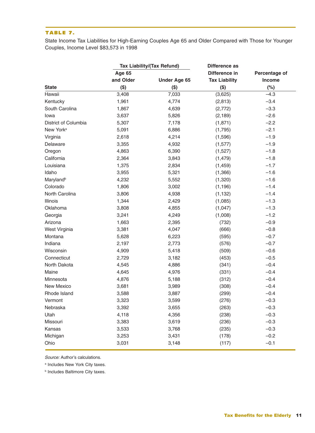#### **TABLE 7.**

State Income Tax Liabilities for High-Earning Couples Age 65 and Older Compared with Those for Younger Couples, Income Level \$83,573 in 1998

|                       | <b>Tax Liability/(Tax Refund)</b> |                     | Difference as        |               |  |
|-----------------------|-----------------------------------|---------------------|----------------------|---------------|--|
|                       | <b>Age 65</b>                     |                     | Difference in        | Percentage of |  |
|                       | and Older                         | <b>Under Age 65</b> | <b>Tax Liability</b> | Income        |  |
| <b>State</b>          | $($ \$)                           | $($ \$)             | $($ \$)              | (%)           |  |
| Hawaii                | 3,408                             | 7,033               | (3,625)              | $-4.3$        |  |
| Kentucky              | 1,961                             | 4,774               | (2,813)              | $-3.4$        |  |
| South Carolina        | 1,867                             | 4,639               | (2,772)              | $-3.3$        |  |
| lowa                  | 3,637                             | 5,826               | (2, 189)             | $-2.6$        |  |
| District of Columbia  | 5,307                             | 7,178               | (1,871)              | $-2.2$        |  |
| New York <sup>a</sup> | 5,091                             | 6,886               | (1,795)              | $-2.1$        |  |
| Virginia              | 2,618                             | 4,214               | (1,596)              | $-1.9$        |  |
| Delaware              | 3,355                             | 4,932               | (1, 577)             | $-1.9$        |  |
| Oregon                | 4,863                             | 6,390               | (1,527)              | $-1.8$        |  |
| California            | 2,364                             | 3,843               | (1, 479)             | $-1.8$        |  |
| Louisiana             | 1,375                             | 2,834               | (1, 459)             | $-1.7$        |  |
| Idaho                 | 3,955                             | 5,321               | (1,366)              | $-1.6$        |  |
| Maryland <sup>b</sup> | 4,232                             | 5,552               | (1,320)              | $-1.6$        |  |
| Colorado              | 1,806                             | 3,002               | (1, 196)             | $-1.4$        |  |
| North Carolina        | 3,806                             | 4,938               | (1, 132)             | $-1.4$        |  |
| Illinois              | 1,344                             | 2,429               | (1,085)              | $-1.3$        |  |
| Oklahoma              | 3,808                             | 4,855               | (1,047)              | $-1.3$        |  |
| Georgia               | 3,241                             | 4,249               | (1,008)              | $-1.2$        |  |
| Arizona               | 1,663                             | 2,395               | (732)                | $-0.9$        |  |
| West Virginia         | 3,381                             | 4,047               | (666)                | $-0.8$        |  |
| Montana               | 5,628                             | 6,223               | (595)                | $-0.7$        |  |
| Indiana               | 2,197                             | 2,773               | (576)                | $-0.7$        |  |
| Wisconsin             | 4,909                             | 5,418               | (509)                | $-0.6$        |  |
| Connecticut           | 2,729                             | 3,182               | (453)                | $-0.5$        |  |
| North Dakota          | 4,545                             | 4,886               | (341)                | $-0.4$        |  |
| Maine                 | 4,645                             | 4,976               | (331)                | $-0.4$        |  |
| Minnesota             | 4,876                             | 5,188               | (312)                | $-0.4$        |  |
| New Mexico            | 3,681                             | 3,989               | (308)                | $-0.4$        |  |
| Rhode Island          | 3,588                             | 3,887               | (299)                | $-0.4$        |  |
| Vermont               | 3,323                             | 3,599               | (276)                | $-0.3$        |  |
| Nebraska              | 3,392                             | 3,655               | (263)                | $-0.3$        |  |
| Utah                  | 4,118                             | 4,356               | (238)                | $-0.3$        |  |
| Missouri              | 3,383                             | 3,619               | (236)                | $-0.3$        |  |
| Kansas                | 3,533                             | 3,768               | (235)                | $-0.3$        |  |
| Michigan              | 3,253                             | 3,431               | (178)                | $-0.2$        |  |
| Ohio                  | 3,031                             | 3,148               | (117)                | $-0.1$        |  |

Source: Author's calculations.

<sup>a</sup> Includes New York City taxes.

**b** Includes Baltimore City taxes.